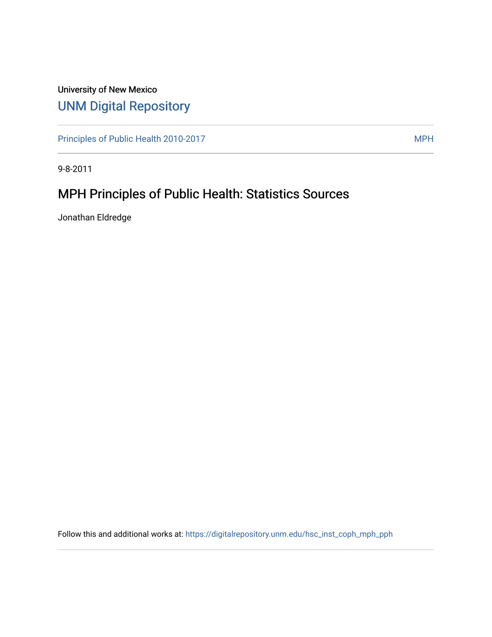# University of New Mexico [UNM Digital Repository](https://digitalrepository.unm.edu/)

[Principles of Public Health 2010-2017](https://digitalrepository.unm.edu/hsc_inst_coph_mph_pph) MPH

9-8-2011

# MPH Principles of Public Health: Statistics Sources

Jonathan Eldredge

Follow this and additional works at: [https://digitalrepository.unm.edu/hsc\\_inst\\_coph\\_mph\\_pph](https://digitalrepository.unm.edu/hsc_inst_coph_mph_pph?utm_source=digitalrepository.unm.edu%2Fhsc_inst_coph_mph_pph%2F11&utm_medium=PDF&utm_campaign=PDFCoverPages)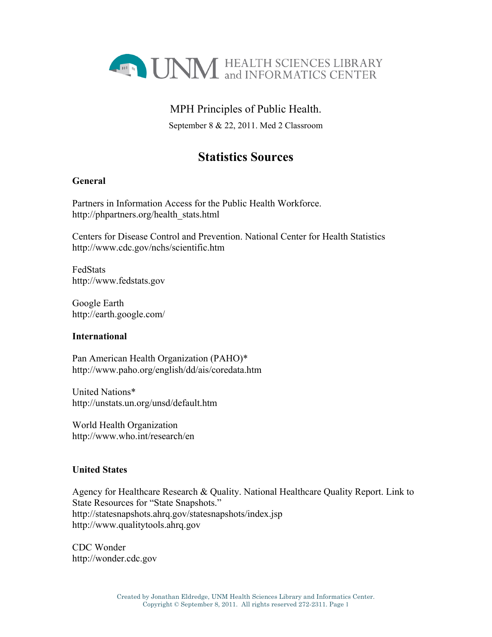

### MPH Principles of Public Health.

September 8 & 22, 2011. Med 2 Classroom

## **Statistics Sources**

### **General**

Partners in Information Access for the Public Health Workforce. http://phpartners.org/health\_stats.html

Centers for Disease Control and Prevention. National Center for Health Statistics http://www.cdc.gov/nchs/scientific.htm

FedStats http://www.fedstats.gov

Google Earth http://earth.google.com/

### **International**

Pan American Health Organization (PAHO)\* http://www.paho.org/english/dd/ais/coredata.htm

United Nations\* http://unstats.un.org/unsd/default.htm

World Health Organization http://www.who.int/research/en

### **United States**

Agency for Healthcare Research & Quality. National Healthcare Quality Report. Link to State Resources for "State Snapshots." http://statesnapshots.ahrq.gov/statesnapshots/index.jsp http://www.qualitytools.ahrq.gov

CDC Wonder http://wonder.cdc.gov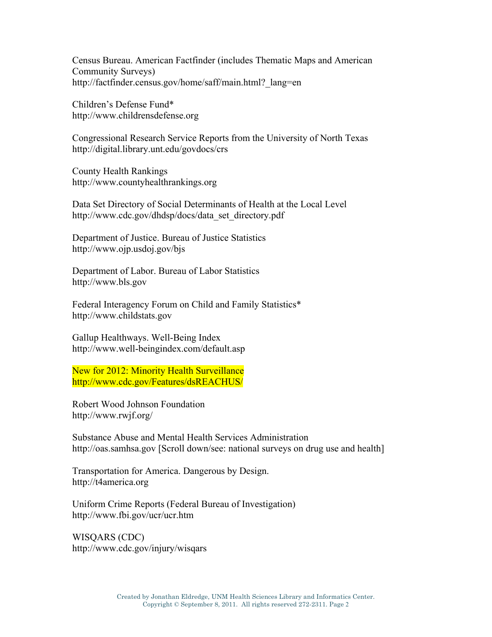Census Bureau. American Factfinder (includes Thematic Maps and American Community Surveys) http://factfinder.census.gov/home/saff/main.html?\_lang=en

Children's Defense Fund\* http://www.childrensdefense.org

Congressional Research Service Reports from the University of North Texas http://digital.library.unt.edu/govdocs/crs

County Health Rankings http://www.countyhealthrankings.org

Data Set Directory of Social Determinants of Health at the Local Level http://www.cdc.gov/dhdsp/docs/data\_set\_directory.pdf

Department of Justice. Bureau of Justice Statistics http://www.ojp.usdoj.gov/bjs

Department of Labor. Bureau of Labor Statistics http://www.bls.gov

Federal Interagency Forum on Child and Family Statistics\* http://www.childstats.gov

Gallup Healthways. Well-Being Index http://www.well-beingindex.com/default.asp

New for 2012: Minority Health Surveillance http://www.cdc.gov/Features/dsREACHUS/

Robert Wood Johnson Foundation http://www.rwjf.org/

Substance Abuse and Mental Health Services Administration http://oas.samhsa.gov [Scroll down/see: national surveys on drug use and health]

Transportation for America. Dangerous by Design. http://t4america.org

Uniform Crime Reports (Federal Bureau of Investigation) http://www.fbi.gov/ucr/ucr.htm

WISQARS (CDC) http://www.cdc.gov/injury/wisqars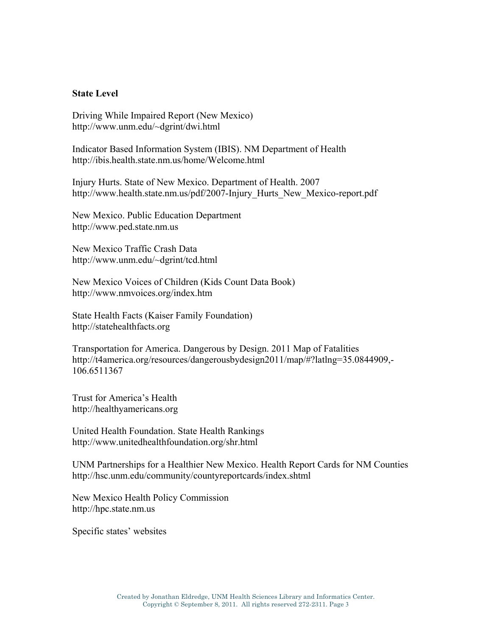#### **State Level**

Driving While Impaired Report (New Mexico) http://www.unm.edu/~dgrint/dwi.html

Indicator Based Information System (IBIS). NM Department of Health http://ibis.health.state.nm.us/home/Welcome.html

Injury Hurts. State of New Mexico. Department of Health. 2007 http://www.health.state.nm.us/pdf/2007-Injury Hurts New Mexico-report.pdf

New Mexico. Public Education Department http://www.ped.state.nm.us

New Mexico Traffic Crash Data http://www.unm.edu/~dgrint/tcd.html

New Mexico Voices of Children (Kids Count Data Book) http://www.nmvoices.org/index.htm

State Health Facts (Kaiser Family Foundation) http://statehealthfacts.org

Transportation for America. Dangerous by Design. 2011 Map of Fatalities http://t4america.org/resources/dangerousbydesign2011/map/#?latlng=35.0844909,- 106.6511367

Trust for America's Health http://healthyamericans.org

United Health Foundation. State Health Rankings http://www.unitedhealthfoundation.org/shr.html

UNM Partnerships for a Healthier New Mexico. Health Report Cards for NM Counties http://hsc.unm.edu/community/countyreportcards/index.shtml

New Mexico Health Policy Commission http://hpc.state.nm.us

Specific states' websites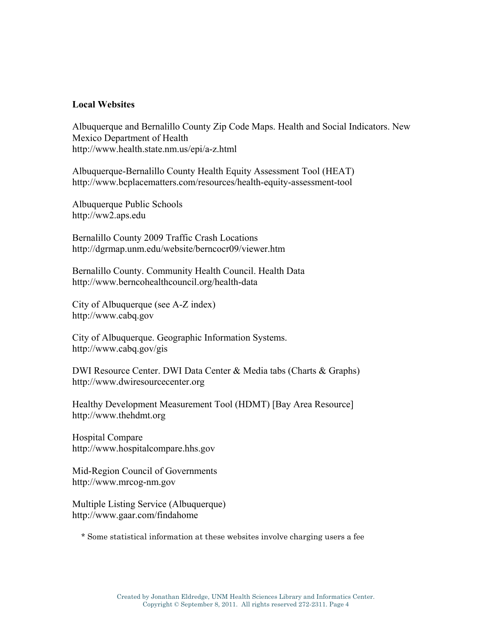#### **Local Websites**

Albuquerque and Bernalillo County Zip Code Maps. Health and Social Indicators. New Mexico Department of Health http://www.health.state.nm.us/epi/a-z.html

Albuquerque-Bernalillo County Health Equity Assessment Tool (HEAT) http://www.bcplacematters.com/resources/health-equity-assessment-tool

Albuquerque Public Schools http://ww2.aps.edu

Bernalillo County 2009 Traffic Crash Locations http://dgrmap.unm.edu/website/berncocr09/viewer.htm

Bernalillo County. Community Health Council. Health Data http://www.berncohealthcouncil.org/health-data

City of Albuquerque (see A-Z index) http://www.cabq.gov

City of Albuquerque. Geographic Information Systems. http://www.cabq.gov/gis

DWI Resource Center. DWI Data Center & Media tabs (Charts & Graphs) http://www.dwiresourcecenter.org

Healthy Development Measurement Tool (HDMT) [Bay Area Resource] http://www.thehdmt.org

Hospital Compare http://www.hospitalcompare.hhs.gov

Mid-Region Council of Governments http://www.mrcog-nm.gov

Multiple Listing Service (Albuquerque) http://www.gaar.com/findahome

\* Some statistical information at these websites involve charging users a fee